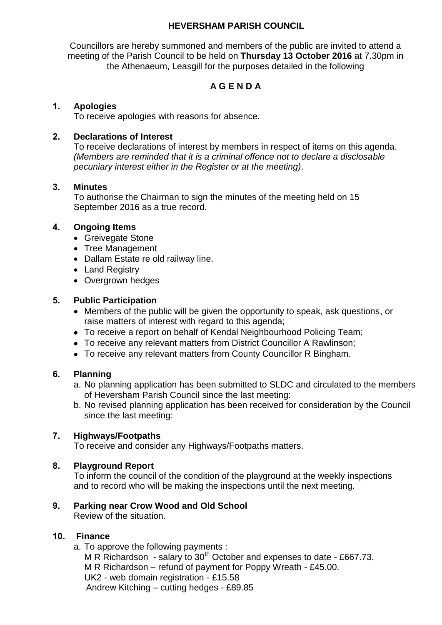## **HEVERSHAM PARISH COUNCIL**

Councillors are hereby summoned and members of the public are invited to attend a meeting of the Parish Council to be held on **Thursday 13 October 2016** at 7.30pm in the Athenaeum, Leasgill for the purposes detailed in the following

# **A G E N D A**

## **1. Apologies**

To receive apologies with reasons for absence.

## **2. Declarations of Interest**

To receive declarations of interest by members in respect of items on this agenda. *(Members are reminded that it is a criminal offence not to declare a disclosable pecuniary interest either in the Register or at the meeting)*.

### **3. Minutes**

To authorise the Chairman to sign the minutes of the meeting held on 15 September 2016 as a true record.

### **4. Ongoing Items**

- Greivegate Stone
- Tree Management
- Dallam Estate re old railway line.
- Land Registry
- Overgrown hedges

#### **5. Public Participation**

- Members of the public will be given the opportunity to speak, ask questions, or raise matters of interest with regard to this agenda;
- To receive a report on behalf of Kendal Neighbourhood Policing Team;
- To receive any relevant matters from District Councillor A Rawlinson;
- To receive any relevant matters from County Councillor R Bingham.

# **6. Planning**

- a. No planning application has been submitted to SLDC and circulated to the members of Heversham Parish Council since the last meeting:
- b. No revised planning application has been received for consideration by the Council since the last meeting:

#### **7. Highways/Footpaths**

To receive and consider any Highways/Footpaths matters.

#### **8. Playground Report**

To inform the council of the condition of the playground at the weekly inspections and to record who will be making the inspections until the next meeting.

# **9. Parking near Crow Wood and Old School**

Review of the situation.

#### **10. Finance**

a. To approve the following payments :

M R Richardson - salary to  $30<sup>th</sup>$  October and expenses to date - £667.73. M R Richardson – refund of payment for Poppy Wreath - £45.00. UK2 - web domain registration - £15.58 Andrew Kitching – cutting hedges - £89.85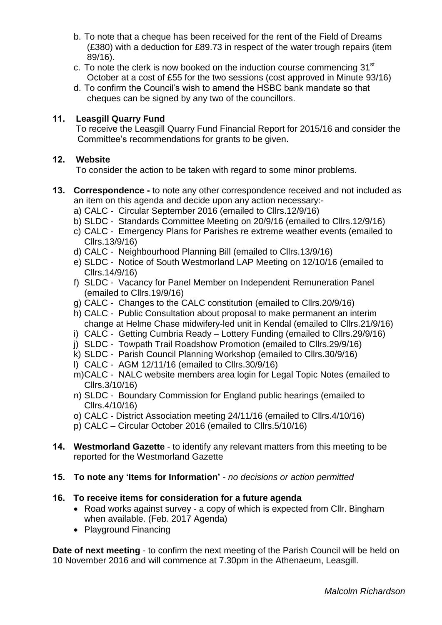- b. To note that a cheque has been received for the rent of the Field of Dreams (£380) with a deduction for £89.73 in respect of the water trough repairs (item 89/16).
- c. To note the clerk is now booked on the induction course commencing  $31<sup>st</sup>$ October at a cost of £55 for the two sessions (cost approved in Minute 93/16)
- d. To confirm the Council's wish to amend the HSBC bank mandate so that cheques can be signed by any two of the councillors.

## **11. Leasgill Quarry Fund**

To receive the Leasgill Quarry Fund Financial Report for 2015/16 and consider the Committee's recommendations for grants to be given.

### **12. Website**

To consider the action to be taken with regard to some minor problems.

- **13. Correspondence -** to note any other correspondence received and not included as an item on this agenda and decide upon any action necessary:
	- a) CALC Circular September 2016 (emailed to Cllrs.12/9/16)
	- b) SLDC Standards Committee Meeting on 20/9/16 (emailed to Cllrs.12/9/16)
	- c) CALC Emergency Plans for Parishes re extreme weather events (emailed to Cllrs.13/9/16)
	- d) CALC Neighbourhood Planning Bill (emailed to Cllrs.13/9/16)
	- e) SLDC Notice of South Westmorland LAP Meeting on 12/10/16 (emailed to Cllrs.14/9/16)
	- f) SLDC Vacancy for Panel Member on Independent Remuneration Panel (emailed to Cllrs.19/9/16)
	- g) CALC Changes to the CALC constitution (emailed to Cllrs.20/9/16)
	- h) CALC Public Consultation about proposal to make permanent an interim change at Helme Chase midwifery-led unit in Kendal (emailed to Cllrs.21/9/16)
	- i) CALC Getting Cumbria Ready Lottery Funding (emailed to Cllrs.29/9/16)
	- j) SLDC Towpath Trail Roadshow Promotion (emailed to Cllrs.29/9/16)
	- k) SLDC Parish Council Planning Workshop (emailed to Cllrs.30/9/16)
	- l) CALC AGM 12/11/16 (emailed to Cllrs.30/9/16)
	- m)CALC NALC website members area login for Legal Topic Notes (emailed to Cllrs.3/10/16)
	- n) SLDC Boundary Commission for England public hearings (emailed to Cllrs.4/10/16)
	- o) CALC District Association meeting 24/11/16 (emailed to Cllrs.4/10/16)
	- p) CALC Circular October 2016 (emailed to Cllrs.5/10/16)
- **14. Westmorland Gazette**  to identify any relevant matters from this meeting to be reported for the Westmorland Gazette
- **15. To note any 'Items for Information'** *no decisions or action permitted*

#### **16. To receive items for consideration for a future agenda**

- Road works against survey a copy of which is expected from Cllr. Bingham when available. (Feb. 2017 Agenda)
- Playground Financing

**Date of next meeting** - to confirm the next meeting of the Parish Council will be held on 10 November 2016 and will commence at 7.30pm in the Athenaeum, Leasgill.